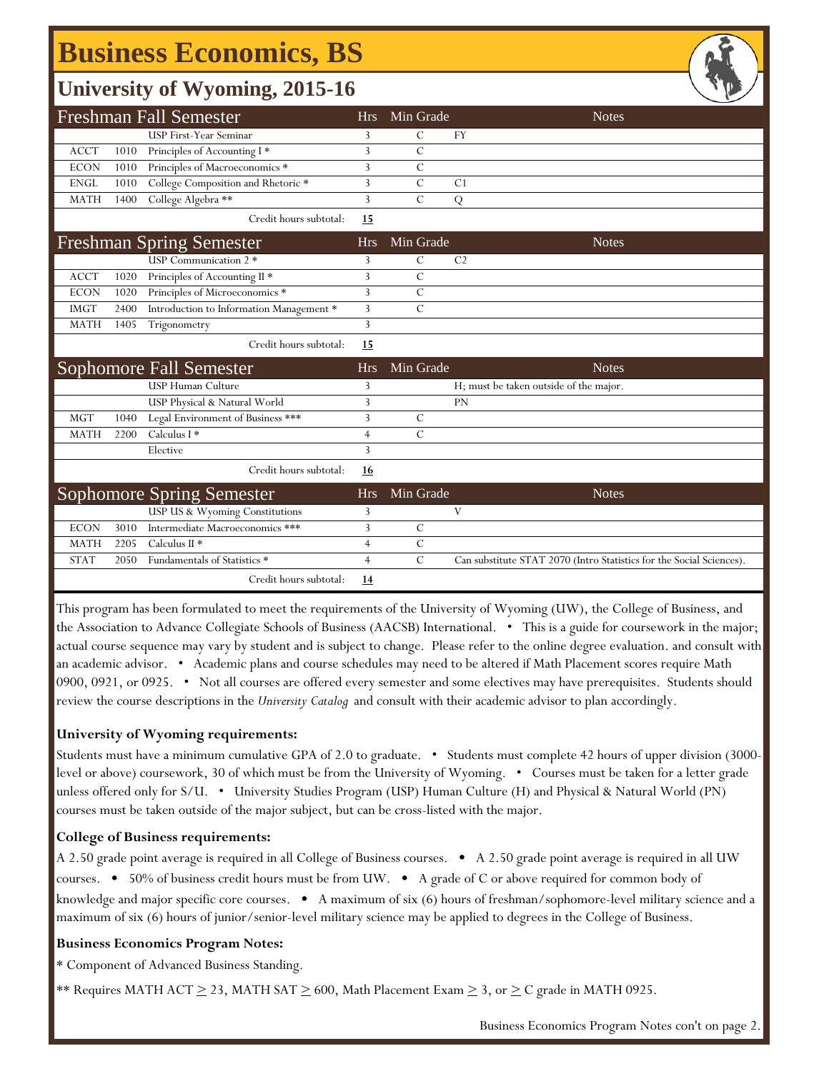# **Business Economics, BS**

### **University of Wyoming, 2015-16**

|             |       | <b>Freshman Fall Semester</b>            | <b>Hrs</b>     | Min Grade     | <b>Notes</b>                                                         |
|-------------|-------|------------------------------------------|----------------|---------------|----------------------------------------------------------------------|
|             |       | <b>USP First-Year Seminar</b>            | 3              | C             | <b>FY</b>                                                            |
| <b>ACCT</b> | 1010  | Principles of Accounting I*              | 3              | $\mathcal{C}$ |                                                                      |
| <b>ECON</b> | 1010  | Principles of Macroeconomics *           | 3              | C             |                                                                      |
| <b>ENGL</b> | 1010  | College Composition and Rhetoric *       | 3              | $\mathcal{C}$ | C <sub>1</sub>                                                       |
| <b>MATH</b> | 1400  | College Algebra **                       | 3              | $\mathcal{C}$ | Q                                                                    |
|             |       | Credit hours subtotal:                   | <u>15</u>      |               |                                                                      |
|             |       | <b>Freshman Spring Semester</b>          | <b>Hrs</b>     | Min Grade     | <b>Notes</b>                                                         |
|             |       | USP Communication 2 *                    | 3              | $\mathcal{C}$ | C <sub>2</sub>                                                       |
| <b>ACCT</b> | 1020  | Principles of Accounting II *            | 3              | $\mathcal{C}$ |                                                                      |
| <b>ECON</b> | 1020  | Principles of Microeconomics *           | 3              | $\mathcal{C}$ |                                                                      |
| <b>IMGT</b> | 2400  | Introduction to Information Management * | 3              | $\mathcal{C}$ |                                                                      |
| <b>MATH</b> | 1405  | Trigonometry                             | 3              |               |                                                                      |
|             |       |                                          |                |               |                                                                      |
|             |       | Credit hours subtotal:                   | <u>15</u>      |               |                                                                      |
|             |       | <b>Sophomore Fall Semester</b>           | <b>Hrs</b>     | Min Grade     | <b>Notes</b>                                                         |
|             |       | <b>USP Human Culture</b>                 | 3              |               | H; must be taken outside of the major.                               |
|             |       | USP Physical & Natural World             | 3              |               | <b>PN</b>                                                            |
| <b>MGT</b>  | 1040  | Legal Environment of Business ***        | 3              | $\mathcal{C}$ |                                                                      |
| <b>MATH</b> | 2200  | Calculus I *                             | $\overline{4}$ | $\mathcal{C}$ |                                                                      |
|             |       | Elective                                 | 3              |               |                                                                      |
|             |       | Credit hours subtotal:                   | 16             |               |                                                                      |
|             |       | Sophomore Spring Semester                | <b>Hrs</b>     | Min Grade     | <b>Notes</b>                                                         |
|             |       | USP US & Wyoming Constitutions           | 3              |               | V                                                                    |
| <b>ECON</b> | 3010  | Intermediate Macroeconomics ***          | 3              | $\mathcal{C}$ |                                                                      |
| <b>MATH</b> | 2205  | Calculus II <sup>*</sup>                 | $\overline{4}$ | $\mathcal{C}$ |                                                                      |
| <b>STAT</b> | 20.50 | Fundamentals of Statistics *             | $\overline{4}$ | $\mathcal{C}$ | Can substitute STAT 2070 (Intro Statistics for the Social Sciences). |

This program has been formulated to meet the requirements of the University of Wyoming (UW), the College of Business, and the Association to Advance Collegiate Schools of Business (AACSB) International. • This is a guide for coursework in the major; actual course sequence may vary by student and is subject to change. Please refer to the online degree evaluation. and consult with an academic advisor. • Academic plans and course schedules may need to be altered if Math Placement scores require Math 0900, 0921, or 0925. • Not all courses are offered every semester and some electives may have prerequisites. Students should review the course descriptions in the *University Catalog* and consult with their academic advisor to plan accordingly.

#### **University of Wyoming requirements:**

Students must have a minimum cumulative GPA of 2.0 to graduate. • Students must complete 42 hours of upper division (3000 level or above) coursework, 30 of which must be from the University of Wyoming. • Courses must be taken for a letter grade unless offered only for S/U. • University Studies Program (USP) Human Culture (H) and Physical & Natural World (PN) courses must be taken outside of the major subject, but can be cross-listed with the major.

#### **College of Business requirements:**

A 2.50 grade point average is required in all College of Business courses. • A 2.50 grade point average is required in all UW courses. • 50% of business credit hours must be from UW. • A grade of C or above required for common body of knowledge and major specific core courses. • A maximum of six (6) hours of freshman/sophomore-level military science and a maximum of six (6) hours of junior/senior-level military science may be applied to degrees in the College of Business.

#### **Business Economics Program Notes:**

\* Component of Advanced Business Standing.

\*\* Requires MATH ACT  $\geq$  23, MATH SAT  $\geq$  600, Math Placement Exam  $\geq$  3, or  $\geq$  C grade in MATH 0925.

Business Economics Program Notes con't on page 2.